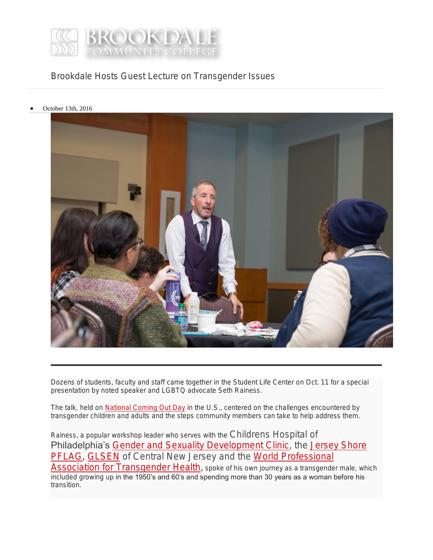

Brookdale Hosts Guest Lecture on Transgender Issues

October 13th, 2016



Dozens of students, faculty and staff came together in the Student Life Center on Oct. 11 for a special presentation by noted speaker and LGBTQ advocate Seth Rainess.

The talk, held on **[National Coming Out Day](http://www.hrc.org/resources/national-coming-out-day)** in the U.S., centered on the challenges encountered by transgender children and adults and the steps community members can take to help address them.

Rainess, a popular workshop leader who serves with the Childrens Hospital of Philadelphia's [Gender and Sexuality Development Clinic,](http://www.chop.edu/news/gender-sexuality-development-clinic-now-open) the Jersey Shore [PFLAG,](http://www.jerseyshorepflag.org/) [GLSEN](http://glsen.org/chapters/centralnj) of Central New Jersey and the World Professional [Association for Transgender Health,](http://www.wpath.org/) spoke of his own journey as a transgender male, which included growing up in the 1950's and 60's and spending more than 30 years as a woman before his transition.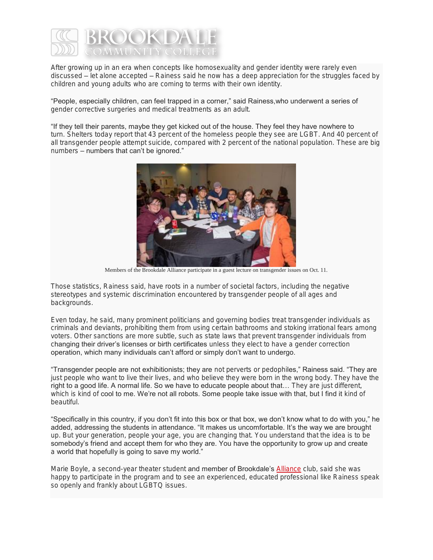

After growing up in an era when concepts like homosexuality and gender identity were rarely even discussed – let alone accepted – Rainess said he now has a deep appreciation for the struggles faced by children and young adults who are coming to terms with their own identity.

## "People, especially children, can feel trapped in a corner," said Rainess,who underwent a series of gender corrective surgeries and medical treatments as an adult.

## "If they tell their parents, maybe they get kicked out of the house. They feel they have nowhere to

turn. Shelters today report that 43 percent of the homeless people they see are LGBT. And 40 percent of all transgender people attempt suicide, compared with 2 percent of the national population. These are big numbers – numbers that can't be ignored."



Members of the Brookdale Alliance participate in a guest lecture on transgender issues on Oct. 11.

Those statistics, Rainess said, have roots in a number of societal factors, including the negative stereotypes and systemic discrimination encountered by transgender people of all ages and backgrounds.

Even today, he said, many prominent politicians and governing bodies treat transgender individuals as criminals and deviants, prohibiting them from using certain bathrooms and stoking irrational fears among voters. Other sanctions are more subtle, such as state laws that prevent transgender individuals from changing their driver's licenses or birth certificates unless they elect to have a gender correction operation, which many individuals can't afford or simply don't want to undergo.

"Transgender people are not exhibitionists; they are not perverts or pedophiles," Rainess said. "They are just people who want to live their lives, and who believe they were born in the wrong body. They have the right to a good life. A normal life. So we have to educate people about that... They are just different, which is kind of cool to me. We're not all robots. Some people take issue with that, but I find it kind of beautiful.

"Specifically in this country, if you don't fit into this box or that box, we don't know what to do with you," he added, addressing the students in attendance. "It makes us uncomfortable. It's the way we are brought up. But your generation, people your age, you are changing that. You understand that the idea is to be somebody's friend and accept them for who they are. You have the opportunity to grow up and create a world that hopefully is going to save my world."

Marie Boyle, a second-year theater student and member of Brookdale's [Alliance](https://www.brookdalecc.edu/student-life-activities/clubs/gay-straight-alliance/) club, said she was happy to participate in the program and to see an experienced, educated professional like Rainess speak so openly and frankly about LGBTQ issues.